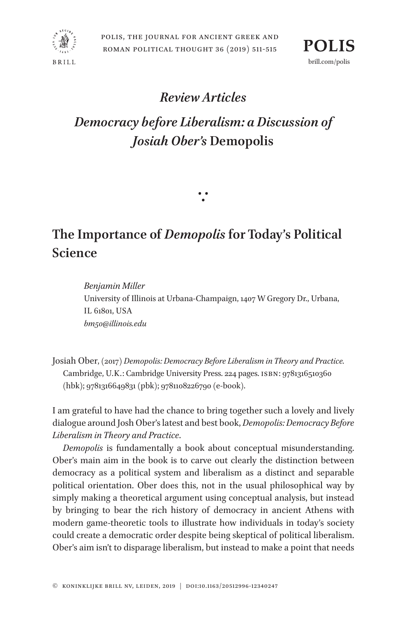





## *Review Articles*

## *Democracy before Liberalism: a Discussion of Josiah Ober's* **Demopolis**

## **The Importance of** *Demopolis* **for Today's Political Science**

∵

*Benjamin Miller* University of Illinois at Urbana-Champaign, 1407 W Gregory Dr., Urbana, IL 61801, USA *bm50@illinois.edu*

Josiah Ober, (2017) *Demopolis: Democracy Before Liberalism in Theory and Practice.* Cambridge, U.K.: Cambridge University Press. 224 pages. ISBN: 9781316510360 (hbk); 9781316649831 (pbk); 9781108226790 (e-book).

I am grateful to have had the chance to bring together such a lovely and lively dialogue around Josh Ober's latest and best book, *Demopolis: Democracy Before Liberalism in Theory and Practice*.

*Demopolis* is fundamentally a book about conceptual misunderstanding. Ober's main aim in the book is to carve out clearly the distinction between democracy as a political system and liberalism as a distinct and separable political orientation. Ober does this, not in the usual philosophical way by simply making a theoretical argument using conceptual analysis, but instead by bringing to bear the rich history of democracy in ancient Athens with modern game-theoretic tools to illustrate how individuals in today's society could create a democratic order despite being skeptical of political liberalism. Ober's aim isn't to disparage liberalism, but instead to make a point that needs